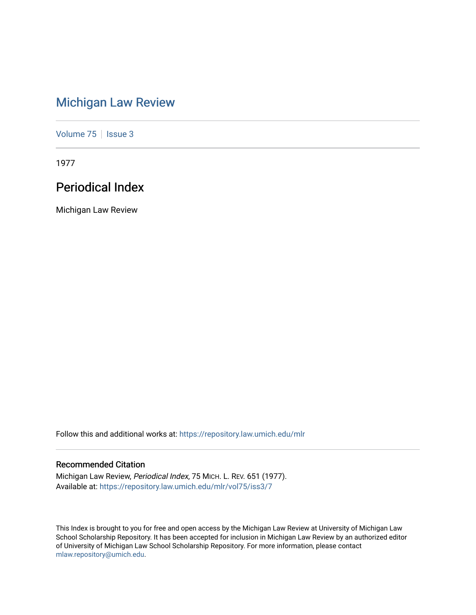# [Michigan Law Review](https://repository.law.umich.edu/mlr)

[Volume 75](https://repository.law.umich.edu/mlr/vol75) | [Issue 3](https://repository.law.umich.edu/mlr/vol75/iss3)

1977

## Periodical Index

Michigan Law Review

Follow this and additional works at: [https://repository.law.umich.edu/mlr](https://repository.law.umich.edu/mlr?utm_source=repository.law.umich.edu%2Fmlr%2Fvol75%2Fiss3%2F7&utm_medium=PDF&utm_campaign=PDFCoverPages) 

## Recommended Citation

Michigan Law Review, Periodical Index, 75 MICH. L. REV. 651 (1977). Available at: [https://repository.law.umich.edu/mlr/vol75/iss3/7](https://repository.law.umich.edu/mlr/vol75/iss3/7?utm_source=repository.law.umich.edu%2Fmlr%2Fvol75%2Fiss3%2F7&utm_medium=PDF&utm_campaign=PDFCoverPages)

This Index is brought to you for free and open access by the Michigan Law Review at University of Michigan Law School Scholarship Repository. It has been accepted for inclusion in Michigan Law Review by an authorized editor of University of Michigan Law School Scholarship Repository. For more information, please contact [mlaw.repository@umich.edu.](mailto:mlaw.repository@umich.edu)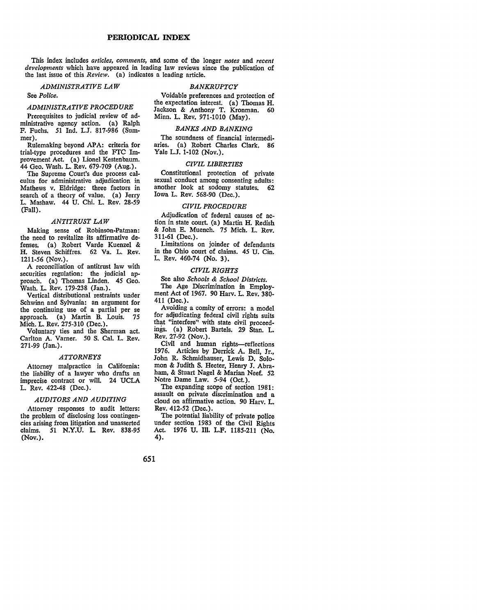This index includes *articles, comments,* and some of the longer *notes* and *recent developments* which have appeared in leading law reviews since the publication of the last issue of this *Review.* (a) indicates a leading article.

*ADMINISTRATIVE LAW* 

### See *Police.*

### *ADMINISTRATIVE PROCEDURE*

Prerequisites to judicial review of administrative agency action. (a) Ralph F. Fuchs. 51 Ind. L.J. 817-986 (Summer).

Rulemaking beyond APA: criteria for trial-type procedures and the FTC Improvement Act. (a) Lionel Kestenbaum. 44 Geo. Wash. L. Rev. 679-709 (Aug.).

The Supreme Court's due process calculus for administrative adjudication in Mathews v. Eldridge: three factors in search of a theory of value. (a) Jerry L. Mashaw. 44 U. Chi. L. Rev. 28-59 (Fall).

#### *ANTITRUST LAW*

Making sense of Robinson-Patman: the need to revitalize its affirmative defenses. (a) Robert Yarde Kuenzel & H. Steven Schiffres. 62 Va. L. Rev. 1211-56 (Nov.).

A reconciliation of antitrust law with securities regulation: the judicial approach. (a) Thomas Linden. *45* Geo. Wash. L. Rev. 179-238 (Jan.).

Vertical distributional restraints under Schwinn and Sylvania: an argument for the continuing use of a partial per se approach. (a) Martin B. Louis. 75 Mich. L. Rev. 275-310 (Dec.).

Voluntary ties and the Sherman act. Carlton A. Varner. 50 S. Cal. L. Rev. 271-99 (Jan.).

### *ATTORNEYS*

Attorney malpractice in California: the liability of a lawyer who drafts an imprecise contract or will. 24 UCLA L. Rev. 422-48 (Dec.).

### *AUDITORS AND AUDITING*

Attorney responses to audit letters: the problem of disclosing loss contingencies arising from litigation and unasserted<br>claims. 51 N.Y.U. L. Rev. 838-95 51 N.Y.U. L. Rev. 838-95 (Nov.).

### *BANKRUPTCY*

Voidable preferences and protection of the expectation interest. (a) Thomas H. Jackson & Anthony T. Kronman. 60 Minn. L. Rev. 971-1010 (May).

### *BANKS AND BANKING*

The soundness of financial intermediaries. (a) Robert Charles Clark. 86 Yale L.J. 1-102 (Nov.).

### *CIVIL LIBERTIES*

Constitutional protection of private sexual conduct among consenting adults: another look at sodomy statutes. 62 Iowa L. Rev. 568-90 (Dec.).

### *CIVIL PROCEDURE*

Adjudication of federal causes of action in state court. (a) Martin H. Redish & John E. Muench. 75 Mich. L. Rev. 311-61 (Dec.).

Limitations on joinder of defendants in the Ohio court of claims. 45 U. Cin. L. Rev. 460-74 (No. 3).

### *CIVIL RIGHTS*

See also *Schools & School Districts.*  The Age Discrimination in Employment Act of 1967. 90 Harv. L. Rev. 380- 411 (Dec.).

Avoiding a comity of errors: a model for adjudicating federal civil rights suits that "interfere'' with state civil proceedings. (a) Robert Bartels. 29 Stan. L. Rev. 27-92 (Nov.).

Civil and human rights-reflections 1976. Articles by Derrick A. Bell, Jr., John R. Schmidhauser, Lewis D. Solomon & Judith S. Heeter, Henry J. Abraham, & Stuart Nagel & Marian Neef. 52 Notre Dame Law. 5-94 (Oct.).

The expanding scope of section 1981: assault on private discrimination and a cloud on affirmative action. 90 Harv. L. Rev. 412-52 (Dec.).

The potential liability of private police under section 1983 of the Civil Rights Act. 1976 U. Ill. L.F. 1185-211 (No. 4).

651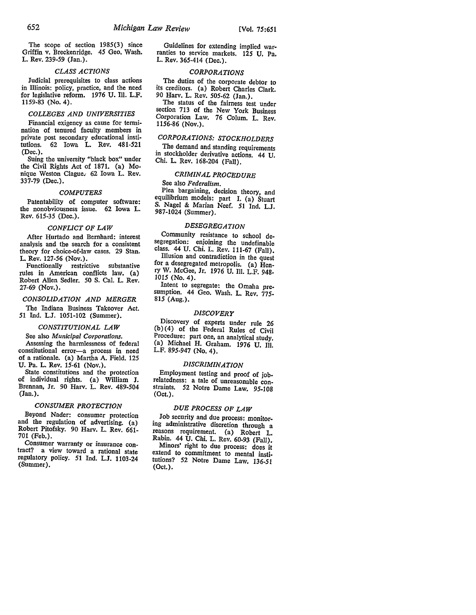### *CLASS ACTIONS*

Judicial prerequisites to class actions in Illinois: policy, practice, and the need for legislative reform. 1976 U. Ill. L.F. 1159-83 (No. 4).

### *COLLEGES AND UNIVERSITIES*

Financial exigency as cause for termination of tenured faculty members in private post secondary educational institutions. 62 Iowa L. Rev. 481-521 (Dec.).

Suing the university "black box" under the Civil Rights Act of 1871. (a) Monique Weston Clague; 62 Iowa L. Rev. 337-79 (Dec.).

### *COMPUTERS*

Patentability of computer software: the nonobviousness issue. 62 Iowa L. Rev. 615-35 (Dec.).

### *CONFLICT OF LAW*

After Hurtado and Bernhard: interest analysis and the search for a consistent theory for choice-of-law cases. 29 Stan. L. Rev. 127-56 (Nov.).

Functionally restrictive substantive rules in American conflicts law. (a) Robert Allen Sedler. 50 S. Cal. L. Rev. 27-69 (Nov.).

#### *CONSOLIDATION AND MERGER*

The Indiana Business Takeover Act. 51 Ind. L.J. 1051-102 (Summer).

### *CONSTITUTIONAL LAW*

See also *Municipal Corporations.*  Assessing the harmlessness of federal constitutional error-a process in need of a rationale. (a) Martha A. Field. 125 U. Pa. L. Rev. 15-61 (Nov.).

State constitutions and the protection of individual rights. (a) William J. Brennan, Jr. 90 Harv. L. Rev. 489~504 (Jan.).

### *CONSUMER PROTECTION*

Beyond Nader: consumer protection and the regulation of advertising. (a) Robert Pitofsky. 90 Harv. L. Rev. 661- 701 (Feb.).

Consumer warranty or insurance contract? a view toward a rational state regulatory policy. 51 Ind. L.J. 1103-24 (Summer).

Guidelines for extending implied war-<br>ranties to service markets. 125 U. Pa. L. Rev. 365-414 (Dec.).

### *CORPORATIONS*

The duties of the corporate debtor to its creditors. (a) Robert Charles Clark. 90 Harv. L. Rev. 505-62 (Jan.).

The status of the fairness test under section 713 of the New York Business Corporation Law. 76 Colum. L. Rev. 1156-86 (Nov.).

### *CORPORATIONS: STOCKHOLDERS*

The demand and standing requirements in stockholder derivative actions. 44 U. Chi. L. Rev. 168-204 (Fall).

### *CRIMINAL PROCEDURE*

### See also *Federalism.*

Plea bargaining, decision theory, and equilibrium models: part I. (a) Stuart S. Nagel & Marian Neef. 51 Ind. L.J. 987-1024 (Summer).

### *DESEGREGATION*

Community resistance to school desegregation: enjoining the undefinable class. 44 U. Chi. L. Rev. 111-67 (Fall). Illusion and contradiction in the quest for a desegregated metropolis. (a)  $\bar{H}$ enry W. McGee, Jr. 1976 U. Ill. L.F. 948• 1015 (No. 4).

Intent to segregate: the Omaha presumption. 44 Geo. Wash. L. Rev. 775. 815 (Aug.).

### *DISCOVERY*

Discovery of experts under rule 26 (b )( 4) of the Federal Rules of Civil Procedure: part one, an analytical study. (a) Michael H. Graham. 1976 U. Ill. L.F. 895-947 (No. 4).

### *DISCRIMINATION*

Employment testing and proof of job-<br>relatedness: a tale of unreasonable constraints. 52 Notre Dame Law. 95-108 (Oct.).

### *DUE PROCESS OF LAW*

Job security and due process: monitor-<br>ing administrative discretion through a reasons requirement. (a) Robert L. Rabin. 44 U. Chi. L. Rev. 60-93 (Fall). Minors' right to due process: does it extend to commitment to mental institutions? 52 Notre Dame Law. 136-51 (Oct.).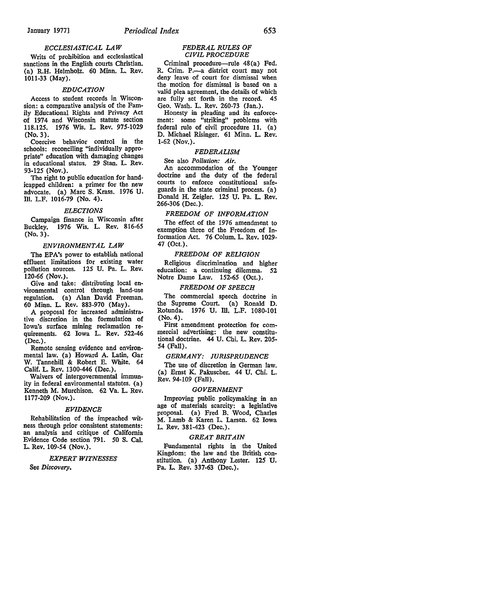### *ECCLESIASTICAL LAW*

Writs of prohibition and ecclesiastical sanctions in the English courts Christian. {a) R.H. Helmholz. 60 Minn. L. Rev. 1011-33 (May).

### *EDUCATION*

Access to student records in Wisconsion: a comparative analysis of the Family Educational Rights and Privacy Act of 1974 and Wisconsin statute section 118.125. 1976 Wis. L. Rev. 975-1029 (No. 3).

Coercive behavior control in the schools: reconciling "individually appropriate" education with damaging changes in educational status. 29 Stan. L. Rev. 93-125 (Nov.).

The right to public education for handicapped children: a primer for the new advocate. (a) Marc S. Krass. 1976 U. Ill. L.F. 1016-79 (No. 4).

### *ELECTIONS*

Campaign finance in Wisconsin after Buckley. 1976 Wis. L. Rev. 816-65 (No. 3).

### *ENVIRONMENTAL LAW*

The EPA's power to establish national effluent limitations for existing water pollution sources. 125 U. Pa. L. Rev. 120-66 (Nov.).

Give and take: distributing local environmental control through land-use regulation. (a) Alan David Freeman. 60 Minn. L. Rev. 883-970 (May).

A proposal for increased administrative discretion in the formulation of Iowa's surface mining reclamation requirements. 62 Iowa L. Rev. 522-46 (Dec.).

Remote sensing evidence and environmental law. (a) Howard A. Latin, Gar W. Tannehill & Robert E. White. 64 Calif. L. Rev. 1300-446 (Dec.).

Waivers of intergovernmental immunity in federal environmental statutes. {a) Kenneth M. Murchison. 62 Va. L. Rev. 1177-209 (Nov.).

### *EVIDENCE*

Rehabilitation of the impeached witness through prior consistent statements: an analysis and critique of California Evidence Code section 791. *50* S. Cal. L. Rev. 109-54 (Nov.).

### *EXPERT WITNESSES*

See *Discovery.* 

### *FEDERAL RULES OF CIVIL PROCEDURE*

Criminal procedure-rule 48(a) Fed. R. Crim. P.--a district court may not deny leave of court for dismissal when<br>the motion for dismissal is based on a valid plea agreement, the details of which are fully set forth in the record. 45 Geo. Wash. L. Rev. 260-73 (Jan.).

Honesty in pleading and its enforcement: some "striking" problems with federal rule of civil procedure 11. (a) D. Michael Risinger. 61 Minn. L. Rev. 1-62 (Nov.).

### *FEDERALISM*

See also *Pollution: Air.* 

An accommodation of the Younger doctrine and the duty of the federal courts to enforce constitutional safeguards in the state criminal process. (a) Donald H. Zeigler. 125 U. Pa. L. Rev. 266-306 (Dec.).

#### *FREEDOM OF INFORMATION*

The effect of the 1976 amendment to exemption three of the Freedom of Information Act. 76 Colum. L. Rev. 1029- 47 (Oct.).

### *FREEDOM OF RELIGION*

Religious discrimination and higher education: a continuing dilemma. 52 Notre Dame Law. 152-65 (Oct.).

### *FREEDOM OF SPEECH*

The commercial speech doctrine in the Supreme Court. (a) Ronald D. Rotunda. 1976 U. Ill. L.F. 1080-101 (No. 4).

First amendment protection for commercial advertising: the new constitutional doctrine. 44 U. Chi. L. Rev. 205- 54 (Fall).

### *GERMANY: JURISPRUDENCE*

The use of discretion in German law. (a) Ernst K. Pakuscher. 44 U. Chi. L. Rev. 94-109 (Fall).

#### *GOVERNMENT*

Improving public policymaking in an age of materials scarcity: a legislative proposal. (a) Fred B. Wood, Charles M. Lamb & Karen L. Larsen. 62 Iowa L. Rev. 381-423 (Dec.).

### *GREAT BRITAIN*

Fundamental rights in the United Kingdom: the law and the British constitution. (a) Anthony Lester. 125 U. Pa. L. Rev. 337-63 (Dec.).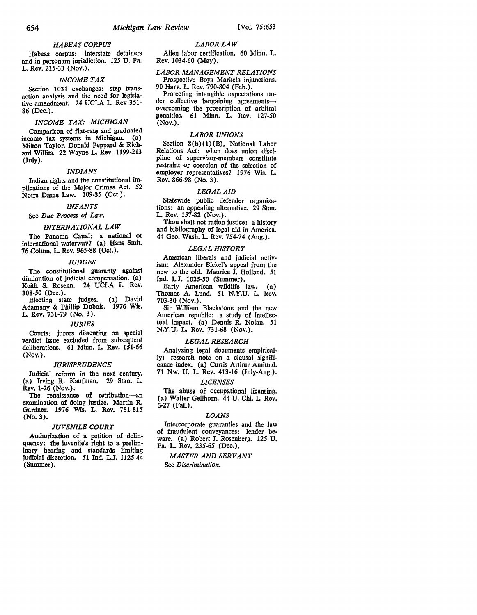### *HABEAS CORPUS*

Habeas corpus: interstate detainers and in personam jurisdiction. 125 U. Pa. L. Rev. 215-33 (Nov.).

### *INCOME TAX*

Section 1031 exchanges: step transaction analysis and the need for legislative amendment. 24 UCLA L. Rev 351- 86 (Dec.).

### *INCOME TAX: MICHIGAN*

Comparison of flat-rate and graduated income tax systems in Michigan. (a) Milton Taylor, Donald Peppard & Richard Willits. 22 Wayne L. Rev. 1199-213 (July).

### *INDIANS*

Indian rights and the constitutional implications of the Major Crimes Act. 52 Notre Dame Law. 109-35 (Oct.).

### *INFANTS*

### See *Due Process of Law.*

### *INTERNATIONAL LAW*

The Panama Canal: a national or international waterway? (a) Hans Smit. 76 Colum. L. Rev. 965-88 (Oct.).

#### *JUDGES*

The constitutional guaranty against diminution of judicial compensation. (a) Keith S. Rosenn. 24 UCLA L. Rev. 308-50 (Dec.).

Electing state judges. (a) David Adamany & Phillip Dubois. 1976 Wis. L. Rev. 731-79 (No. 3).

### *JURIES*

Courts: jurors dissenting on special verdict issue excluded from subsequent deliberations. 61 Minn. L. Rev. 151-66 (Nov.).

#### *JURISPRUDENCE*

Judicial reform in the next century. (a) Irving R. Kaufman. 29 Stan. L. Rev. 1-26 (Nov.).

The renaissance of retribution-an examination of doing justice. Martin **R.**  Gardner. 1976 Wis. L. Rev. 781-815 (No. 3).

### *JUVENILE COURT*

Authorization of a petition of delinquency: the juvenile's right to a preliminary hearing and standards limiting judicial discretion. 51 Ind. LJ. 1125-44 (Summer).

### *LABOR LAW*  Alien labor certification. 60 Minn. L. Rev. 1034-60 (May).

*LABOR MANAGEMENT RELATIONS*  Prospective Boys Markets injunctions. 90 Harv. L. Rev. 790-804 (Feb.).

Protecting intangible expectations under collective bargaining agreementsovercoming the proscription of arbitral penalties. 61 Minn. L. Rev. 127-50 (Nov.).

### *LABOR UNIONS*

Section 8(b)(1)(B), National Labor Relations Act: when does union discipline of superv:sor-members constitute restraint or coercion of the selection of employer representatives? 1976 Wis. L. Rev. 866-98 (No. 3).

### *LEGAL AID*

Statewide public defender organizations: an appealing alternative. 29 Stan. L. Rev. 157-82 (Nov.).

Thou shalt not ration justice: a history and bibliography of legal aid in America. 44 Geo. Wash. L. Rev. 754-74 (Aug.).

### *LEGAL HISTORY*

American liberals and judicial activism: Alexander Bickel's appeal from the new to the old. Maurice J. Holland. 51 Ind. L.J. 1025-50 (Summer).

Early American wildlife law. (a) Thomas A. Lund. 51 N.Y.U. L. Rev. 703-30 (Nov.).

Sir William Blackstone and the new American republic: a study of intellectual impact. (a) Dennis R. Nolan. 51 N.Y.U, L. Rev. 731-68 (Nov.),

### *LEGAL RESEARCH*

Analyzing legal documents empirically: research note on a clausal significance index. {a) Curtis Arthur Amlund. 71 Nw. U. L. Rev. 413-16 (July-Aug.).

#### *LICENSES*

The abuse of occupational licensing. (a) Walter Gellhorn. 44 U. Chi. L. Rev. 6-27 (Fall).

### *LOANS*

Intercorporate guaranties and the law of fraudulent conveyances: lender beware. (a) Robert J. Rosenberg. 125 U, Pa. L. Rev. 235-65 (Dec,).

*MASTER AND SERVANT*  See *Discrimination,*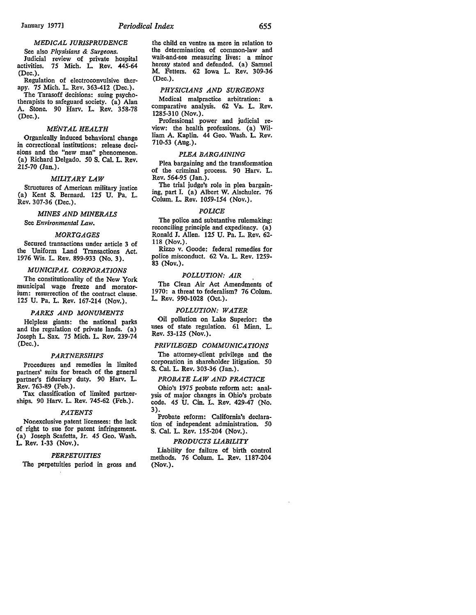### *MEDICAL JURISPRUDENCE*

See also *Physisians* & *Surgeons.*  Judicial review of private hospital activities. *15* Mich. L. Rev. *445-64*  (Dec.).

Regulation of electroconvulsive therapy. *15* Mich. L. Rev. 363-412 (Dec.).

The Tarasoff decisions: suing psychotherapists to safeguard society. (a) Alan A. Stone. 90 Harv. L. Rev. 358-78 (Dec.).

#### *MENTAL HEALTH*

Organically induced behavioral change in correctional institutions: release decisions and the "new man" phenomenon. (a) Richard Delgado. *50* S. Cal. L. Rev. 215-70 (Jan.).

### *MILITARY LAW*

Structures of American military justice (a) Kent S. Bernard. 125 U. Pa. L. Rev. 307-36 (Dec.).

#### *MINES AND MINERALS*

See *Environmental Law.* 

### *MORTGAGES*

Secured transactions under article 3 of the Uniform Land Transactions Act. 1976 Wis. L. Rev. 899-933 (No. 3).

### *MUNICIPAL CORPORATIONS*

The constitutionality of the New York municipal wage freeze and moratorium: resurrection of the contract clause. *125* U. Pa. L. Rev. 167-214 (Nov.).

### *PARKS AND MONUMENTS*

Helpless giants: the national parks and the regulation of private lands. (a) Joseph L. Sax. *15* Mich. L. Rev. 239-74 (Dec.).

### *PARTNERSHIPS*

Procedures and remedies in limited partners' suits for breach of the general partner's fiduciary duty. 90 Harv. L. Rev. 763-89 (Feb.).

Tax classification of limited partnerships. 90 Harv. L. Rev. 745-62 (Feb.).

#### *PATENTS*

Nonexclusive patent licensees: the lack of right to sue for patent infringement. (a) Joseph Scafetta, Jr. *45* Geo. Wash. L. Rev. 1-33 (Nov.).

### *PERPETUITIES*

The perpetuities period in gross and

the child en ventre sa mere in relation to the determination of common-law and wait-and-see measuring lives: a minor heresy stated and defended. (a) Samuel M. Fetters. 62 Iowa L. Rev. 309-36 (Dec.).

### *PHYSICIANS AND SURGEONS*

Medical malpractice arbitration: a comparative analysis. 62 Va. L. Rev. 1285-310 (Nov.).

Professional power and judicial review: the health professions. (a) William A. Kaplin. 44 Geo. Wash. L. Rev. 710-53 (Aug.).

### *PLEA BARGAINING*

Plea bargaining and the transformation of the criminal process. 90 Harv. L. Rev. *564-95* (Jan.).

The trial judge's role in plea bargaining, part I. (a) Albert W. Alschuler. 76 Colum. L. Rev. *1059-154* (Nov.).

### *POLICE*

The police and substantive rulemaking: reconciling principle and expediency. (a) Ronald J. Allen. 125 U. Pa. L. Rev. 62- 118 (Nov.).

Rizzo v. Goode: federal remedies for police misconduct. 62 Va. L. Rev. 1259- 83 (Nov.).

### *POLLUTION: AIR*

The Clean Air Act Amendments of 1970: a threat to federalism? 76 Colum. L. Rev. 990-1028 (Oct.).

### *POLLUTION: WATER*

Oil pollution on Lake Superior: the uses of state regulation. 61 Minn. L. Rev. 53-125 (Nov.).

### *PRIVILEGED COMMUNICATIONS*

The attorney-client privilege and the corporation in shareholder litigation. *50*  S. Cal. L. Rev. 303-36 (Jan.).

### *PROBATE LAW AND PRACTICE*

Ohio's 1975 probate reform act: analysis of major changes in Ohio's probate code. *45* U. Cin. L. Rev. 429-47 (No. 3).

Probate reform: California's declaration of independent administration. 50 S. Cal. L. Rev. 155-204 (Nov.).

### *PRODUCTS LIABILITY*

Liability for failure of birth control methods. 76 Colum. L. Rev. 1187-204 (Nov.).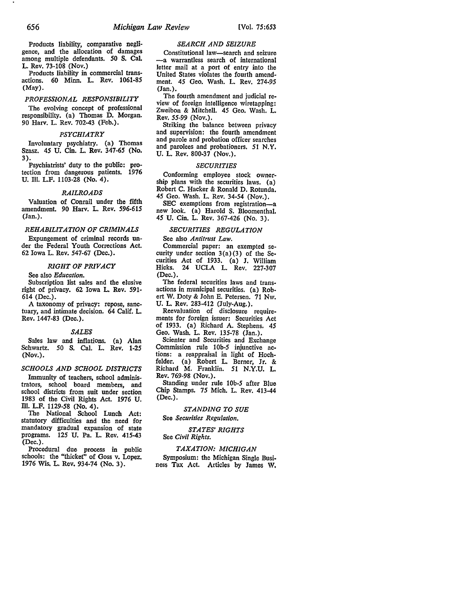### Products liability, comparative negligence, and the allocation of damages among multiple defendants. SO S. Cal. L. Rev. 73-108 (Nov.)

Products liability in commercial transactions. 60 Minn. L. Rev. 1061-85 (May).

### *PROFESSIONAL RESPONSIBILITY*

The evolving concept of professional responsibility. (a) Thomas D. Morgan. 90 Harv. L. Rev. 702-43 (Feb.).

### *PSYCHIATRY*

Involuntary psychiatry. (a) Thomas Szasz. *45* U. Cin. L. Rev. 347-65 (No. 3).

Psychiatrists' duty to the public: protection from dangerous patients. 1976 U. Ill. L.F. 1103-28 (No. 4).

### *RAILROADS*

Valuation of Conrail under the fifth amendment. 90 Harv. L. Rev. 596-615 (Jan.).

### *REHABILITATION OF CRIMINALS*

Expungement of criminal records under the Federal Youth Corrections Act. 62 Iowa L. Rev. 547-67 (Dec.).

### *RIGHT OF PRIVACY*

See also *Education.* 

Subscription list sales and the elusive right of privacy. 62 Iowa L. Rev. 591- 614 (Dec.).

A taxonomy of privacy: repose, sanctuary, and intimate decision. 64 Calif. L. Rev. 1447-83 (Dec.).

### *SALES*

Sales law and inflations. (a) Alan Schwartz. SO S. Cal. L. Rev. 1-25 (Nov.).

### *SCHOOLS AND SCHOOL DISTRICTS*

Immunity of teachers, school administrators, school board members, and school districts from suit under section 1983 of the Civil Rights Act. 1976 U. Ill. L.F. 1129-58 (No. 4).

The National School Lunch Act: statutory difficulties and the need for mandatory gradual expansion of state programs. 125 U. Pa. L. Rev. 415-43 (Dec.).

Procedural due process in public schools: the "thicket" of Goss v. Lopez. 1976 Wis, L. Rev. 934-74 (No. 3).

### *SEARCH AND SEIZURE*

Constitutional law-search and seizure -a warrantless search of international letter mail at a port of entry into the United States violates the fourth amendment. *45* Geo. Wash. L. Rev. 274-95 (Jan.).<br>The fourth amendment and judicial re-

view of foreign intelligence wiretapping: Zweibon & Mitchell. *45* Geo. Wash. L. Rev. 55-99 (Nov.).

Striking the balance between privacy and supervision: the fourth amendment and parole and probation officer searches and parolees and probationers. 51 **N.Y.**  U. L. Rev. 800-37 (Nov.).

### *SECURITIES*

Conforming employee stock ownership plans with the securities laws. (a) Robert C. Hacker & Ronald D. Rotunda. *45* Geo. Wash. L. Rev. 34-54 (Nov.).

SEC exemptions from registration-a new look. (a) Harold S. Bloomenthal. *45* U. Cin. L. Rev. 367-426 (No. 3).

### *SECURITIES REGULATION*

See also *Antitrust Law*.<br>Commercial paper: an exempted security under section  $3(a)(3)$  of the Securities Act of 1933. (a) J. William Hicks. 24 UCLA L. Rev. 227-307 (Dec.).

The federal securities laws and transactions in municipal securities. (a) Robert W. Doty & John E. Petersen. 71 Nw. U. L. Rev. 283-412 (July-Aug.).

Reevaluation of disclosure requirements for foreign issuer: Securities Act of 1933. (a) Richard A. Stephens. *45*  Geo. Wash. L. Rev. 135-78 (Jan.).

Scienter and Securities and Exchange<br>Commission rule 10b-5 injunctive actions: a reappraisal in light of Hochfelder. (a) Robert L Berner, Jr. & Richard M. Franklin. 51 N.Y.U. L. Rev. 769-98 (Nov.).

Standing under rule lOb-5 after Blue Chip Stamps. *75* Mich. L. Rev. 413-44 (Dec.).

*STANDING TO SUE* 

See *Securities Regulation.* 

*STATES' RIGHTS*  See *Civil Rights.* 

### *TAXATION: MICHIGAN*

Symposium: the Michigan Single Business Tax Act. Articles by James W,